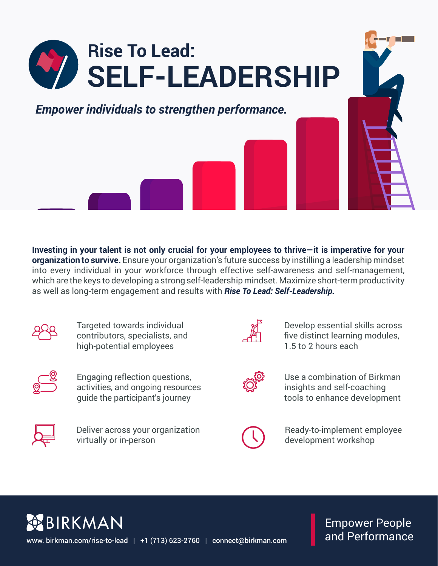

**Investing in your talent is not only crucial for your employees to thrive—it is imperative for your organization to survive.** Ensure your organization's future success by instilling a leadership mindset into every individual in your workforce through effective self-awareness and self-management, which are the keys to developing a strong self-leadership mindset. Maximize short-term productivity as well as long-term engagement and results with *Rise To Lead: Self-Leadership.* 



Targeted towards individual contributors, specialists, and high-potential employees



Engaging reflection questions, activities, and ongoing resources guide the participant's journey



Deliver across your organization virtually or in-person



Develop essential skills across five distinct learning modules, 1.5 to 2 hours each



Use a combination of Birkman insights and self-coaching tools to enhance development



Ready-to-implement employee development workshop

**SEBIRKMAN** www. birkman.com/rise-to-lead | +1 (713) 623-2760 | connect@birkman.com

Empower People and Performance